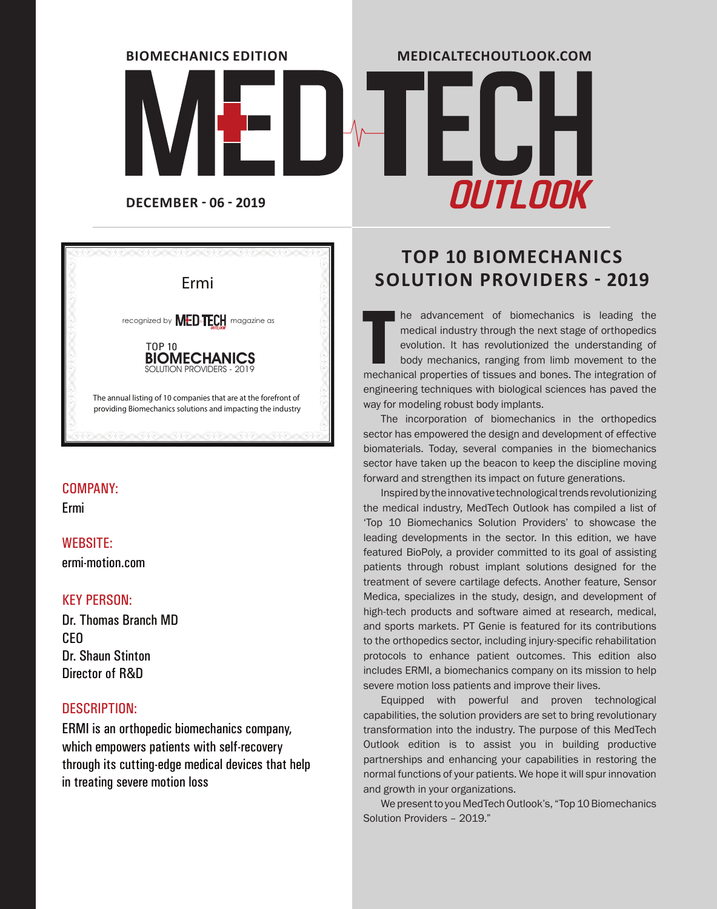

# **OUTLOOK**

**MEDICALTECHOUTLOOK.COM**



#### COMPANY:

Ermi

#### WEBSITE:

ermi-motion.com

#### KEY PERSON:

Dr. Thomas Branch MD **CEO** Dr. Shaun Stinton Director of R&D

#### DESCRIPTION:

ERMI is an orthopedic biomechanics company, which empowers patients with self-recovery through its cutting-edge medical devices that help in treating severe motion loss

### **TOP 10 BIOMECHANICS**  Ermi **SOLUTION PROVIDERS - 2019**

The advancement of biomechanics is leading the medical industry through the next stage of orthopedics evolution. It has revolutionized the understanding of body mechanics, ranging from limb movement to the mechanical prope he advancement of biomechanics is leading the medical industry through the next stage of orthopedics evolution. It has revolutionized the understanding of body mechanics, ranging from limb movement to the engineering techniques with biological sciences has paved the way for modeling robust body implants.

The incorporation of biomechanics in the orthopedics sector has empowered the design and development of effective biomaterials. Today, several companies in the biomechanics sector have taken up the beacon to keep the discipline moving forward and strengthen its impact on future generations.

Inspired by the innovative technological trends revolutionizing the medical industry, MedTech Outlook has compiled a list of 'Top 10 Biomechanics Solution Providers' to showcase the leading developments in the sector. In this edition, we have featured BioPoly, a provider committed to its goal of assisting patients through robust implant solutions designed for the treatment of severe cartilage defects. Another feature, Sensor Medica, specializes in the study, design, and development of high-tech products and software aimed at research, medical, and sports markets. PT Genie is featured for its contributions to the orthopedics sector, including injury-specific rehabilitation protocols to enhance patient outcomes. This edition also includes ERMI, a biomechanics company on its mission to help severe motion loss patients and improve their lives.

Equipped with powerful and proven technological capabilities, the solution providers are set to bring revolutionary transformation into the industry. The purpose of this MedTech Outlook edition is to assist you in building productive partnerships and enhancing your capabilities in restoring the normal functions of your patients. We hope it will spur innovation and growth in your organizations.

We present to you MedTech Outlook's, "Top 10 Biomechanics Solution Providers – 2019."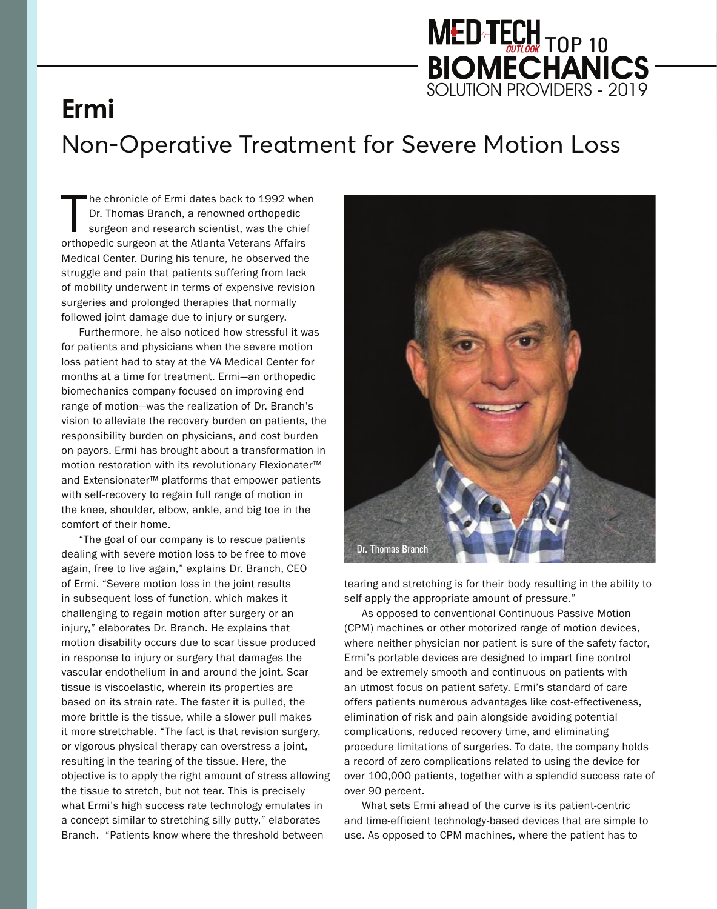# MED TECH TOP 10 **BIOMECHANICS** SOLUTION PROVIDERS - 2019

# **Ermi**  Non-Operative Treatment for Severe Motion Loss

The chronicle of Ermi dates back to 1992 whe<br>Dr. Thomas Branch, a renowned orthopedic<br>surgeon and research scientist, was the chier<br>orthopedic surgeon at the Atlanta Veterans Affairs he chronicle of Ermi dates back to 1992 when Dr. Thomas Branch, a renowned orthopedic surgeon and research scientist, was the chief Medical Center. During his tenure, he observed the struggle and pain that patients suffering from lack of mobility underwent in terms of expensive revision surgeries and prolonged therapies that normally followed joint damage due to injury or surgery.

Furthermore, he also noticed how stressful it was for patients and physicians when the severe motion loss patient had to stay at the VA Medical Center for months at a time for treatment. Ermi—an orthopedic biomechanics company focused on improving end range of motion—was the realization of Dr. Branch's vision to alleviate the recovery burden on patients, the responsibility burden on physicians, and cost burden on payors. Ermi has brought about a transformation in motion restoration with its revolutionary Flexionater™ and Extensionater™ platforms that empower patients with self-recovery to regain full range of motion in the knee, shoulder, elbow, ankle, and big toe in the comfort of their home.

"The goal of our company is to rescue patients dealing with severe motion loss to be free to move again, free to live again," explains Dr. Branch, CEO of Ermi. "Severe motion loss in the joint results in subsequent loss of function, which makes it challenging to regain motion after surgery or an injury," elaborates Dr. Branch. He explains that motion disability occurs due to scar tissue produced in response to injury or surgery that damages the vascular endothelium in and around the joint. Scar tissue is viscoelastic, wherein its properties are based on its strain rate. The faster it is pulled, the more brittle is the tissue, while a slower pull makes it more stretchable. "The fact is that revision surgery, or vigorous physical therapy can overstress a joint, resulting in the tearing of the tissue. Here, the objective is to apply the right amount of stress allowing the tissue to stretch, but not tear. This is precisely what Ermi's high success rate technology emulates in a concept similar to stretching silly putty," elaborates Branch. "Patients know where the threshold between



tearing and stretching is for their body resulting in the ability to self-apply the appropriate amount of pressure."

As opposed to conventional Continuous Passive Motion (CPM) machines or other motorized range of motion devices, where neither physician nor patient is sure of the safety factor, Ermi's portable devices are designed to impart fine control and be extremely smooth and continuous on patients with an utmost focus on patient safety. Ermi's standard of care offers patients numerous advantages like cost-effectiveness, elimination of risk and pain alongside avoiding potential complications, reduced recovery time, and eliminating procedure limitations of surgeries. To date, the company holds a record of zero complications related to using the device for over 100,000 patients, together with a splendid success rate of over 90 percent.

What sets Ermi ahead of the curve is its patient-centric and time-efficient technology-based devices that are simple to use. As opposed to CPM machines, where the patient has to